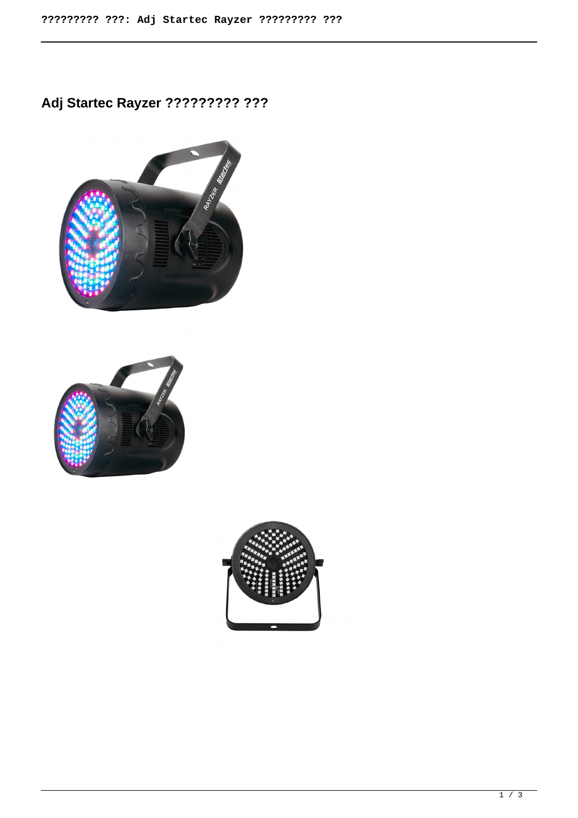**Adj Startec Rayzer ????????? ???**





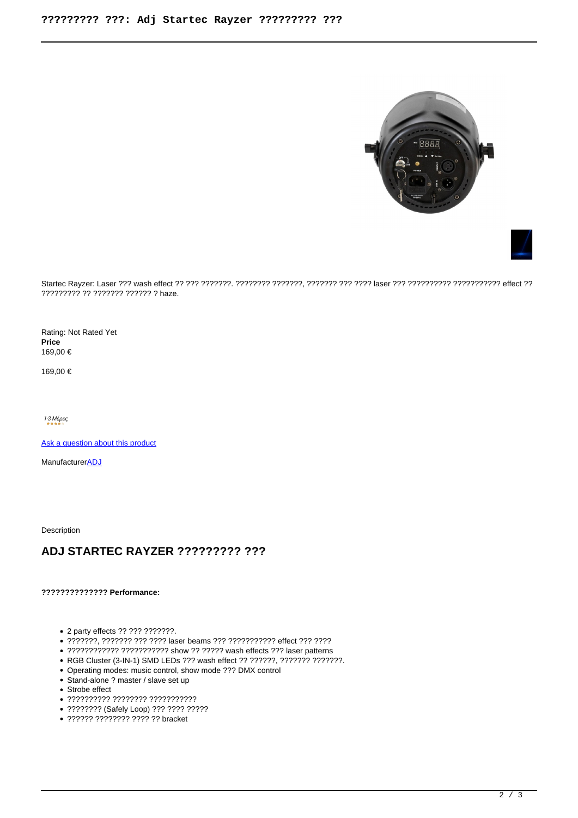



Startec Rayzer: Laser ??? wash effect ?? ??? ???????. ???????? ???????, ??????? ??? ???? laser ??? ?????????? ??????????? effect ?? ????????? ?? ??????? ?????? ? haze.

Rating: Not Rated Yet **Price**  169,00 €

169,00 €

1-3 Μέρες

[Ask a question about this product](https://soundstruck.gr/index.php?option=com_virtuemart&view=productdetails&task=askquestion&virtuemart_product_id=1905&virtuemart_category_id=28&tmpl=component)

Manufacturer**[ADJ](https://soundstruck.gr/index.php?option=com_virtuemart&view=manufacturer&virtuemart_manufacturer_id=6&tmpl=component)** 

Description

## **ADJ STARTEC RAYZER ????????? ???**

**?????????????? Performance:** 

- 2 party effects ?? ??? ???????.
- ???????, ??????? ??? ???? laser beams ??? ??????????? effect ??? ????
- ???????????? ??????????? show ?? ????? wash effects ??? laser patterns
- RGB Cluster (3-IN-1) SMD LEDs ??? wash effect ?? ??????, ??????? ???????.
- Operating modes: music control, show mode ??? DMX control
- Stand-alone ? master / slave set up
- Strobe effect
- ?????????? ???????? ???????????
- ???????? (Safely Loop) ??? ???? ?????
- ?????? ??????? ???? ?? bracket